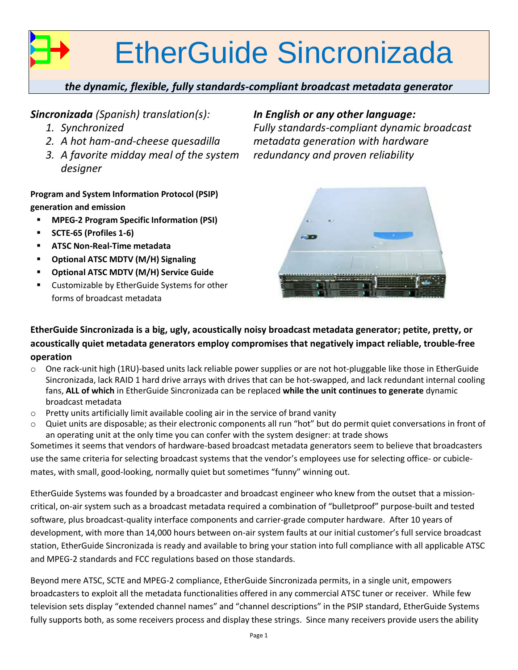# EtherGuide Sincronizada

#### *the dynamic, flexible, fully standards-compliant broadcast metadata generator*

#### *Sincronizada (Spanish) translation(s):*

- *1. Synchronized*
- *2. A hot ham-and-cheese quesadilla*
- *3. A favorite midday meal of the system designer*

**Program and System Information Protocol (PSIP) generation and emission**

- **MPEG-2 Program Specific Information (PSI)**
- **SCTE-65 (Profiles 1-6)**
- **ATSC Non-Real-Time metadata**
- **Optional ATSC MDTV (M/H) Signaling**
- **Optional ATSC MDTV (M/H) Service Guide**
- **EXECUSTEM** Customizable by EtherGuide Systems for other forms of broadcast metadata

#### *In English or any other language:*

*Fully standards-compliant dynamic broadcast metadata generation with hardware redundancy and proven reliability*



**EtherGuide Sincronizada is a big, ugly, acoustically noisy broadcast metadata generator; petite, pretty, or acoustically quiet metadata generators employ compromises that negatively impact reliable, trouble-free operation**

- $\circ$  One rack-unit high (1RU)-based units lack reliable power supplies or are not hot-pluggable like those in EtherGuide Sincronizada, lack RAID 1 hard drive arrays with drives that can be hot-swapped, and lack redundant internal cooling fans, **ALL of which** in EtherGuide Sincronizada can be replaced **while the unit continues to generate** dynamic broadcast metadata
- o Pretty units artificially limit available cooling air in the service of brand vanity
- $\circ$  Quiet units are disposable; as their electronic components all run "hot" but do permit quiet conversations in front of an operating unit at the only time you can confer with the system designer: at trade shows

Sometimes it seems that vendors of hardware-based broadcast metadata generators seem to believe that broadcasters use the same criteria for selecting broadcast systems that the vendor's employees use for selecting office- or cubiclemates, with small, good-looking, normally quiet but sometimes "funny" winning out.

EtherGuide Systems was founded by a broadcaster and broadcast engineer who knew from the outset that a missioncritical, on-air system such as a broadcast metadata required a combination of "bulletproof" purpose-built and tested software, plus broadcast-quality interface components and carrier-grade computer hardware. After 10 years of development, with more than 14,000 hours between on-air system faults at our initial customer's full service broadcast station, EtherGuide Sincronizada is ready and available to bring your station into full compliance with all applicable ATSC and MPEG-2 standards and FCC regulations based on those standards.

Beyond mere ATSC, SCTE and MPEG-2 compliance, EtherGuide Sincronizada permits, in a single unit, empowers broadcasters to exploit all the metadata functionalities offered in any commercial ATSC tuner or receiver. While few television sets display "extended channel names" and "channel descriptions" in the PSIP standard, EtherGuide Systems fully supports both, as some receivers process and display these strings. Since many receivers provide users the ability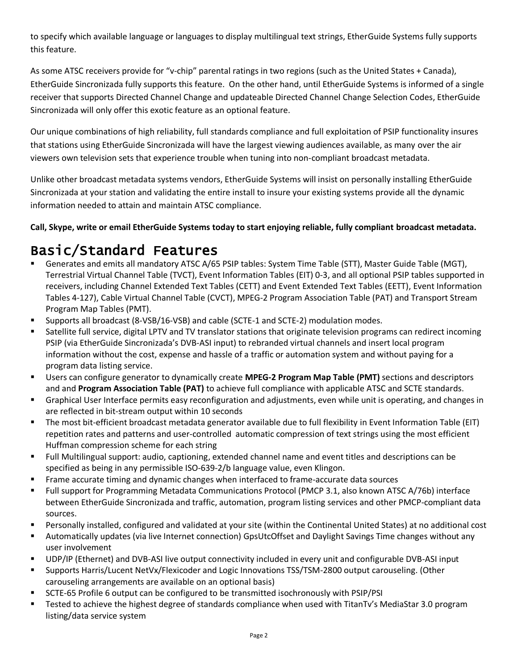to specify which available language or languages to display multilingual text strings, EtherGuide Systems fully supports this feature.

As some ATSC receivers provide for "v-chip" parental ratings in two regions (such as the United States + Canada), EtherGuide Sincronizada fully supports this feature. On the other hand, until EtherGuide Systems is informed of a single receiver that supports Directed Channel Change and updateable Directed Channel Change Selection Codes, EtherGuide Sincronizada will only offer this exotic feature as an optional feature.

Our unique combinations of high reliability, full standards compliance and full exploitation of PSIP functionality insures that stations using EtherGuide Sincronizada will have the largest viewing audiences available, as many over the air viewers own television sets that experience trouble when tuning into non-compliant broadcast metadata.

Unlike other broadcast metadata systems vendors, EtherGuide Systems will insist on personally installing EtherGuide Sincronizada at your station and validating the entire install to insure your existing systems provide all the dynamic information needed to attain and maintain ATSC compliance.

#### **Call, Skype, write or email EtherGuide Systems today to start enjoying reliable, fully compliant broadcast metadata.**

# Basic/Standard Features

- Generates and emits all mandatory ATSC A/65 PSIP tables: System Time Table (STT), Master Guide Table (MGT), Terrestrial Virtual Channel Table (TVCT), Event Information Tables (EIT) 0-3, and all optional PSIP tables supported in receivers, including Channel Extended Text Tables (CETT) and Event Extended Text Tables (EETT), Event Information Tables 4-127), Cable Virtual Channel Table (CVCT), MPEG-2 Program Association Table (PAT) and Transport Stream Program Map Tables (PMT).
- Supports all broadcast (8-VSB/16-VSB) and cable (SCTE-1 and SCTE-2) modulation modes.
- Satellite full service, digital LPTV and TV translator stations that originate television programs can redirect incoming PSIP (via EtherGuide Sincronizada's DVB-ASI input) to rebranded virtual channels and insert local program information without the cost, expense and hassle of a traffic or automation system and without paying for a program data listing service.
- Users can configure generator to dynamically create **MPEG-2 Program Map Table (PMT)** sections and descriptors and and **Program Association Table (PAT)** to achieve full compliance with applicable ATSC and SCTE standards.
- Graphical User Interface permits easy reconfiguration and adjustments, even while unit is operating, and changes in are reflected in bit-stream output within 10 seconds
- The most bit-efficient broadcast metadata generator available due to full flexibility in Event Information Table (EIT) repetition rates and patterns and user-controlled automatic compression of text strings using the most efficient Huffman compression scheme for each string
- Full Multilingual support: audio, captioning, extended channel name and event titles and descriptions can be specified as being in any permissible ISO-639-2/b language value, even Klingon.
- **Frame accurate timing and dynamic changes when interfaced to frame-accurate data sources**
- Full support for Programming Metadata Communications Protocol (PMCP 3.1, also known ATSC A/76b) interface between EtherGuide Sincronizada and traffic, automation, program listing services and other PMCP-compliant data sources.
- Personally installed, configured and validated at your site (within the Continental United States) at no additional cost
- Automatically updates (via live Internet connection) GpsUtcOffset and Daylight Savings Time changes without any user involvement
- UDP/IP (Ethernet) and DVB-ASI live output connectivity included in every unit and configurable DVB-ASI input
- Supports Harris/Lucent NetVx/Flexicoder and Logic Innovations TSS/TSM-2800 output carouseling. (Other carouseling arrangements are available on an optional basis)
- SCTE-65 Profile 6 output can be configured to be transmitted isochronously with PSIP/PSI
- Tested to achieve the highest degree of standards compliance when used with TitanTv's MediaStar 3.0 program listing/data service system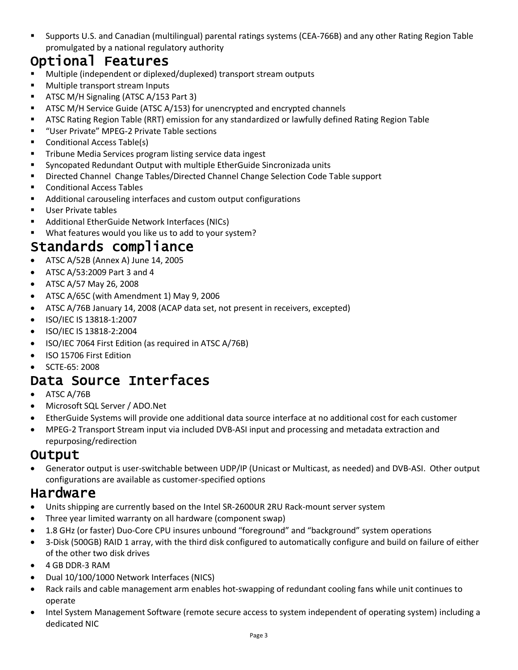Supports U.S. and Canadian (multilingual) parental ratings systems (CEA-766B) and any other Rating Region Table promulgated by a national regulatory authority

# Optional Features

- Multiple (independent or diplexed/duplexed) transport stream outputs
- **Multiple transport stream Inputs**
- **ATSC M/H Signaling (ATSC A/153 Part 3)**
- **ATSC M/H Service Guide (ATSC A/153) for unencrypted and encrypted channels**
- ATSC Rating Region Table (RRT) emission for any standardized or lawfully defined Rating Region Table
- "User Private" MPEG-2 Private Table sections
- **Conditional Access Table(s)**
- **Tribune Media Services program listing service data ingest**
- Syncopated Redundant Output with multiple EtherGuide Sincronizada units
- Directed Channel Change Tables/Directed Channel Change Selection Code Table support
- Conditional Access Tables
- Additional carouseling interfaces and custom output configurations
- **User Private tables**
- Additional EtherGuide Network Interfaces (NICs)
- What features would you like us to add to your system?

# Standards compliance

- ATSC A/52B (Annex A) June 14, 2005
- ATSC A/53:2009 Part 3 and 4
- ATSC A/57 May 26, 2008
- ATSC A/65C (with Amendment 1) May 9, 2006
- ATSC A/76B January 14, 2008 (ACAP data set, not present in receivers, excepted)
- ISO/IEC IS 13818-1:2007
- ISO/IEC IS 13818-2:2004
- ISO/IEC 7064 First Edition (as required in ATSC A/76B)
- ISO 15706 First Edition
- SCTE-65: 2008

# Data Source Interfaces

- ATSC A/76B
- Microsoft SQL Server / ADO.Net
- EtherGuide Systems will provide one additional data source interface at no additional cost for each customer
- MPEG-2 Transport Stream input via included DVB-ASI input and processing and metadata extraction and repurposing/redirection

## **Output**

 Generator output is user-switchable between UDP/IP (Unicast or Multicast, as needed) and DVB-ASI. Other output configurations are available as customer-specified options

## Hardware

- Units shipping are currently based on the Intel SR-2600UR 2RU Rack-mount server system
- Three year limited warranty on all hardware (component swap)
- 1.8 GHz (or faster) Duo-Core CPU insures unbound "foreground" and "background" system operations
- 3-Disk (500GB) RAID 1 array, with the third disk configured to automatically configure and build on failure of either of the other two disk drives
- 4 GB DDR-3 RAM
- Dual 10/100/1000 Network Interfaces (NICS)
- Rack rails and cable management arm enables hot-swapping of redundant cooling fans while unit continues to operate
- Intel System Management Software (remote secure access to system independent of operating system) including a dedicated NIC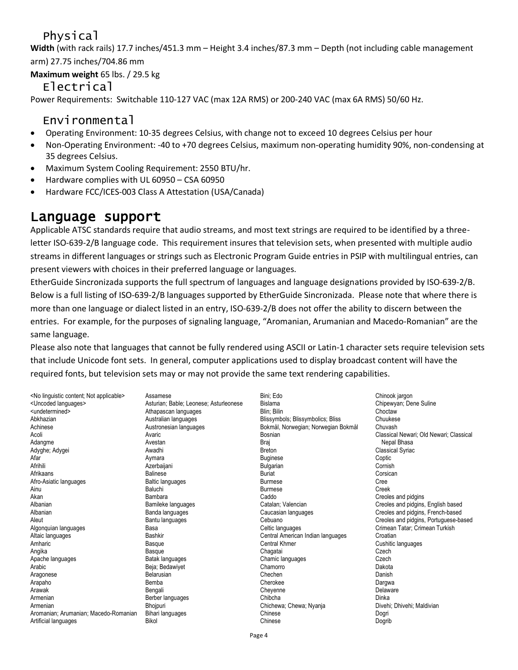# Physical

**Width** (with rack rails) 17.7 inches/451.3 mm – Height 3.4 inches/87.3 mm – Depth (not including cable management arm) 27.75 inches/704.86 mm

**Maximum weight** 65 lbs. / 29.5 kg

#### Electrical

Power Requirements: Switchable 110-127 VAC (max 12A RMS) or 200-240 VAC (max 6A RMS) 50/60 Hz.

# Environmental

- Operating Environment: 10-35 degrees Celsius, with change not to exceed 10 degrees Celsius per hour
- Non-Operating Environment: -40 to +70 degrees Celsius, maximum non-operating humidity 90%, non-condensing at 35 degrees Celsius.
- Maximum System Cooling Requirement: 2550 BTU/hr.
- Hardware complies with UL 60950 CSA 60950
- Hardware FCC/ICES-003 Class A Attestation (USA/Canada)

# Language support

Applicable ATSC standards require that audio streams, and most text strings are required to be identified by a threeletter ISO-639-2/B language code. This requirement insures that television sets, when presented with multiple audio streams in different languages or strings such as Electronic Program Guide entries in PSIP with multilingual entries, can present viewers with choices in their preferred language or languages.

EtherGuide Sincronizada supports the full spectrum of languages and language designations provided by ISO-639-2/B. Below is a full listing of ISO-639-2/B languages supported by EtherGuide Sincronizada. Please note that where there is more than one language or dialect listed in an entry, ISO-639-2/B does not offer the ability to discern between the entries. For example, for the purposes of signaling language, "Aromanian, Arumanian and Macedo-Romanian" are the same language.

Please also note that languages that cannot be fully rendered using ASCII or Latin-1 character sets require television sets that include Unicode font sets. In general, computer applications used to display broadcast content will have the required fonts, but television sets may or may not provide the same text rendering capabilities.

| <no applicable="" content:="" linguistic="" not=""></no> | Assamese                               | Bini: Edo                           | Chinook jargon                          |
|----------------------------------------------------------|----------------------------------------|-------------------------------------|-----------------------------------------|
| <uncoded languages=""></uncoded>                         | Asturian; Bable; Leonese; Asturleonese | <b>Bislama</b>                      | Chipewyan; Dene Suline                  |
| <undetermined></undetermined>                            | Athapascan languages                   | Blin: Bilin                         | Choctaw                                 |
| Abkhazian                                                | Australian languages                   | Blissymbols; Blissymbolics; Bliss   | Chuukese                                |
| Achinese                                                 | Austronesian languages                 | Bokmål, Norwegian; Norwegian Bokmål | Chuvash                                 |
| Acoli                                                    | Avaric                                 | Bosnian                             | Classical Newari; Old Newari; Classical |
| Adangme                                                  | Avestan                                | Braj                                | Nepal Bhasa                             |
| Adyghe; Adygei                                           | Awadhi                                 | <b>Breton</b>                       | <b>Classical Syriac</b>                 |
| Afar                                                     | Aymara                                 | <b>Buginese</b>                     | Coptic                                  |
| Afrihili                                                 | Azerbaijani                            | <b>Bulgarian</b>                    | Cornish                                 |
| Afrikaans                                                | <b>Balinese</b>                        | <b>Buriat</b>                       | Corsican                                |
| Afro-Asiatic languages                                   | <b>Baltic languages</b>                | <b>Burmese</b>                      | Cree                                    |
| Ainu                                                     | Baluchi                                | <b>Burmese</b>                      | Creek                                   |
| Akan                                                     | Bambara                                | Caddo                               | Creoles and pidgins                     |
| Albanian                                                 | Bamileke languages                     | Catalan: Valencian                  | Creoles and pidgins, English based      |
| Albanian                                                 | Banda languages                        | Caucasian languages                 | Creoles and pidgins, French-based       |
| Aleut                                                    | Bantu languages                        | Cebuano                             | Creoles and pidgins, Portuguese-based   |
| Algonquian languages                                     | Basa                                   | Celtic languages                    | Crimean Tatar; Crimean Turkish          |
| Altaic languages                                         | Bashkir                                | Central American Indian languages   | Croatian                                |
| Amharic                                                  | <b>Basque</b>                          | <b>Central Khmer</b>                | Cushitic languages                      |
| Angika                                                   | Basque                                 | Chagatai                            | Czech                                   |
| Apache languages                                         | Batak languages                        | Chamic languages                    | Czech                                   |
| Arabic                                                   | Beja; Bedawiyet                        | Chamorro                            | Dakota                                  |
| Aragonese                                                | Belarusian                             | Chechen                             | Danish                                  |
| Arapaho                                                  | Bemba                                  | Cherokee                            | Dargwa                                  |
| Arawak                                                   | Bengali                                | Cheyenne                            | Delaware                                |
| Armenian                                                 | Berber languages                       | Chibcha                             | Dinka                                   |
| Armenian                                                 | Bhojpuri                               | Chichewa; Chewa; Nyanja             | Divehi; Dhivehi; Maldivian              |
| Aromanian; Arumanian; Macedo-Romanian                    | Bihari languages                       | Chinese                             | Dogri                                   |
| Artificial languages                                     | <b>Bikol</b>                           | Chinese                             | Dogrib                                  |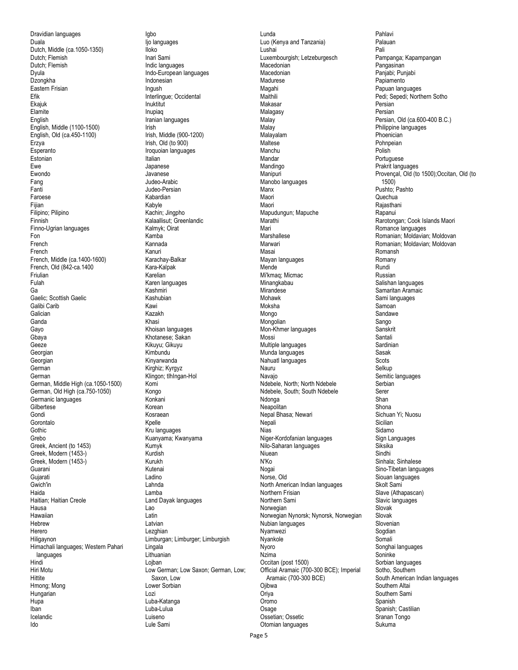Dravidian languages Duala Dutch, Middle (ca.1050-1350) Dutch; Flemish Dutch; Flemish Dyula Dzongkha Eastern Frisian Efik Ekajuk **Elamite** English English, Middle (1100-1500) English, Old (ca.450-1100) Erzya Esperanto Estonian Ewe Ewondo Fang Fanti Faroese Fijian Filipino; Pilipino Finnish Finno-Ugrian languages Fon French French French, Middle (ca.1400-1600) French, Old (842-ca.1400 Friulian Fulah Ga Gaelic; Scottish Gaelic Galibi Carib Galician Ganda Gayo Gbaya Geeze Georgian Georgian German German German, Middle High (ca.1050-1500) German, Old High (ca.750-1050) Germanic languages Gilbertese Gondi **Gorontalo Gothic** Grebo Greek, Ancient (to 1453) Greek, Modern (1453-) Greek, Modern (1453-) Guarani Gujarati Gwich'in Haida Haitian; Haitian Creole Hausa Hawaiian Hebrew Herero Hiligaynon Himachali languages; Western Pahari languages Hindi Hiri Motu **Hittite** Hmong; Mong Hungarian Hupa Iban Icelandic Ido

Igbo Ijo languages Iloko Inari Sami Indic languages Indo-European languages Indonesian Ingush Interlingue; Occidental Inuktitut Inupiaq Iranian languages Irish Irish, Middle (900-1200) Irish, Old (to 900) Iroquoian languages Italian Japanese Javanese Judeo-Arabic Judeo-Persian Kabardian Kabyle Kachin; Jingpho Kalaallisut; Greenlandic Kalmyk; Oirat Kamba Kannada Kanuri Karachay-Balkar Kara-Kalpak Karelian Karen languages Kashmiri Kashubian Kawi Kazakh Khasi Khoisan languages Khotanese; Sakan Kikuyu; Gikuyu Kimbundu Kinyarwanda Kirghiz; Kyrgyz Klingon; tlhIngan-Hol Komi Kongo Konkani Korean Kosraean Kpelle Kru languages Kuanyama; Kwanyama Kumyk Kurdish Kurukh Kutenai Ladino Lahnda Lamba Land Dayak languages Lao Latin Latvian Lezghian Limburgan; Limburger; Limburgish Lingala Lithuanian Lojban Low German; Low Saxon; German, Low; Saxon, Low Lower Sorbian Lozi Luba-Katanga Luba-Lulua Luiseno Lule Sami

Lunda Luo (Kenya and Tanzania) Lushai Luxembourgish; Letzeburgesch **Macedonian** Macedonian Madurese Magahi Maithili Makasar Malagasy Malay **Malay** Malayalam Maltese Manchu Mandar Mandingo Manipuri Manobo languages Manx Maori Maori Mapudungun; Mapuche Marathi Mari Marshallese Marwari Masai Mayan languages Mende Mi'kmaq; Micmac Minangkabau **Mirandese** Mohawk Moksha Mongo Mongolian Mon-Khmer languages Mossi Multiple languages Munda languages Nahuatl languages Nauru Navajo Ndebele, North; North Ndebele Ndebele, South; South Ndebele Ndonga Neapolitan Nepal Bhasa; Newari **Nepali** Nias Niger-Kordofanian languages Nilo-Saharan languages Niuean N'Ko Nogai Norse, Old North American Indian languages Northern Frisian Northern Sami **Norwegian** Norwegian Nynorsk; Nynorsk, Norwegian Nubian languages Nyamwezi Nyankole Nyoro Nzima Occitan (post 1500) Official Aramaic (700-300 BCE); Imperial Aramaic (700-300 BCE) **Oiibwa Oriya** Oromo Osage Ossetian; Ossetic Otomian languages

Pahlavi Palauan Pali Pampanga; Kapampangan Pangasinan Panjabi; Punjabi Papiamento Papuan languages Pedi; Sepedi; Northern Sotho Persian Persian Persian, Old (ca.600-400 B.C.) Philippine languages Phoenician Pohnpeian Polish Portuguese Prakrit languages Provençal, Old (to 1500);Occitan, Old (to 1500) Pushto; Pashto Quechua Rajasthani Rapanui Rarotongan; Cook Islands Maori Romance languages Romanian; Moldavian; Moldovan Romanian; Moldavian; Moldovan Romansh Romany Rundi Russian Salishan languages Samaritan Aramaic Sami languages Samoan Sandawe Sango Sanskrit Santali Sardinian Sasak **Scots** Selkup Semitic languages Serbian Serer Shan Shona Sichuan Yi; Nuosu Sicilian Sidamo Sign Languages Siksika Sindhi Sinhala; Sinhalese Sino-Tibetan languages Siouan languages Skolt Sami Slave (Athapascan) Slavic languages Slovak Slovak Slovenian Sogdian Somali Songhai languages Soninke Sorbian languages Sotho, Southern South American Indian languages Southern Altai Southern Sami Spanish Spanish; Castilian Sranan Tongo Sukuma